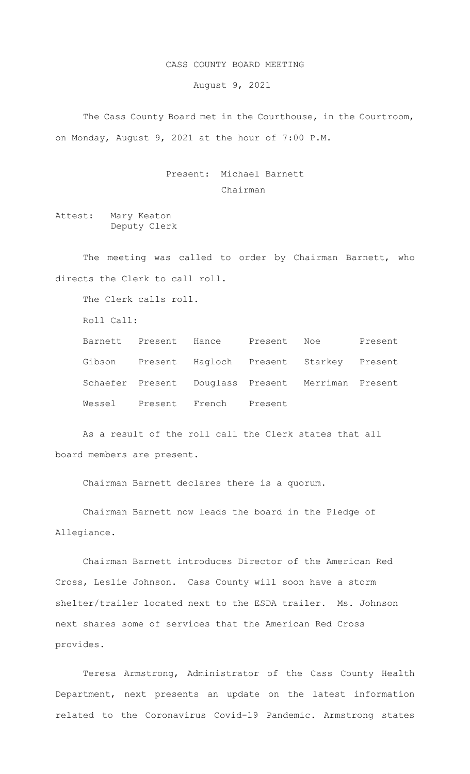## CASS COUNTY BOARD MEETING

August 9, 2021

 The Cass County Board met in the Courthouse, in the Courtroom, on Monday, August 9, 2021 at the hour of 7:00 P.M.

> Present: Michael Barnett Chairman

Attest: Mary Keaton Deputy Clerk

The meeting was called to order by Chairman Barnett, who directs the Clerk to call roll.

The Clerk calls roll.

Roll Call:

Barnett Present Hance Present Noe Present Gibson Present Hagloch Present Starkey Present Schaefer Present Douglass Present Merriman Present Wessel Present French Present

As a result of the roll call the Clerk states that all board members are present.

Chairman Barnett declares there is a quorum.

Chairman Barnett now leads the board in the Pledge of Allegiance.

Chairman Barnett introduces Director of the American Red Cross, Leslie Johnson. Cass County will soon have a storm shelter/trailer located next to the ESDA trailer. Ms. Johnson next shares some of services that the American Red Cross provides.

Teresa Armstrong, Administrator of the Cass County Health Department, next presents an update on the latest information related to the Coronavirus Covid-19 Pandemic. Armstrong states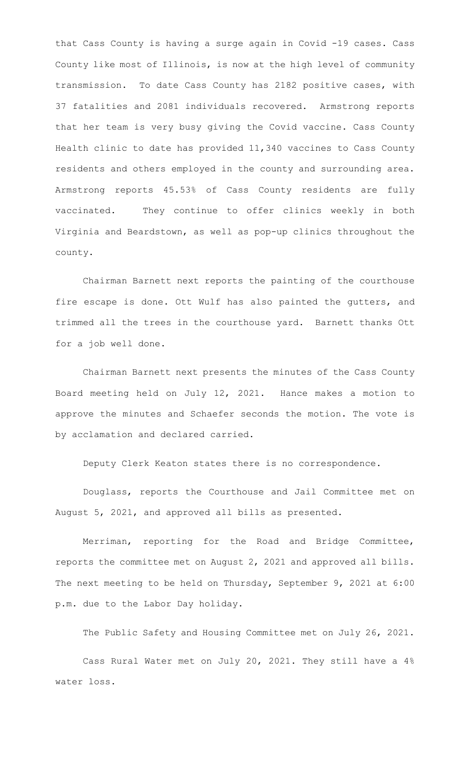that Cass County is having a surge again in Covid -19 cases. Cass County like most of Illinois, is now at the high level of community transmission. To date Cass County has 2182 positive cases, with 37 fatalities and 2081 individuals recovered. Armstrong reports that her team is very busy giving the Covid vaccine. Cass County Health clinic to date has provided 11,340 vaccines to Cass County residents and others employed in the county and surrounding area. Armstrong reports 45.53% of Cass County residents are fully vaccinated. They continue to offer clinics weekly in both Virginia and Beardstown, as well as pop-up clinics throughout the county.

Chairman Barnett next reports the painting of the courthouse fire escape is done. Ott Wulf has also painted the gutters, and trimmed all the trees in the courthouse yard. Barnett thanks Ott for a job well done.

 Chairman Barnett next presents the minutes of the Cass County Board meeting held on July 12, 2021. Hance makes a motion to approve the minutes and Schaefer seconds the motion. The vote is by acclamation and declared carried.

Deputy Clerk Keaton states there is no correspondence.

Douglass, reports the Courthouse and Jail Committee met on August 5, 2021, and approved all bills as presented.

Merriman, reporting for the Road and Bridge Committee, reports the committee met on August 2, 2021 and approved all bills. The next meeting to be held on Thursday, September 9, 2021 at 6:00 p.m. due to the Labor Day holiday.

The Public Safety and Housing Committee met on July 26, 2021.

Cass Rural Water met on July 20, 2021. They still have a 4% water loss.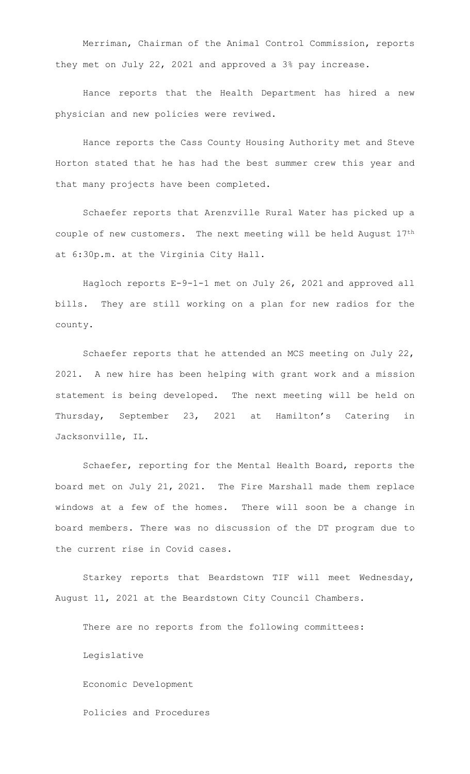Merriman, Chairman of the Animal Control Commission, reports they met on July 22, 2021 and approved a 3% pay increase.

Hance reports that the Health Department has hired a new physician and new policies were reviwed.

 Hance reports the Cass County Housing Authority met and Steve Horton stated that he has had the best summer crew this year and that many projects have been completed.

Schaefer reports that Arenzville Rural Water has picked up a couple of new customers. The next meeting will be held August 17th at 6:30p.m. at the Virginia City Hall.

Hagloch reports E-9-1-1 met on July 26, 2021 and approved all bills. They are still working on a plan for new radios for the county.

Schaefer reports that he attended an MCS meeting on July 22, 2021. A new hire has been helping with grant work and a mission statement is being developed. The next meeting will be held on Thursday, September 23, 2021 at Hamilton's Catering in Jacksonville, IL.

Schaefer, reporting for the Mental Health Board, reports the board met on July 21, 2021. The Fire Marshall made them replace windows at a few of the homes. There will soon be a change in board members. There was no discussion of the DT program due to the current rise in Covid cases.

Starkey reports that Beardstown TIF will meet Wednesday, August 11, 2021 at the Beardstown City Council Chambers.

There are no reports from the following committees:

Legislative

Economic Development

Policies and Procedures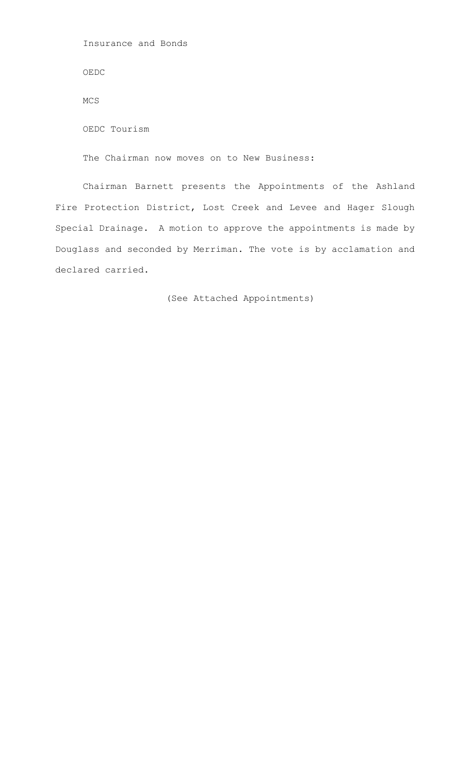Insurance and Bonds

OEDC

MCS

OEDC Tourism

The Chairman now moves on to New Business:

Chairman Barnett presents the Appointments of the Ashland Fire Protection District, Lost Creek and Levee and Hager Slough Special Drainage. A motion to approve the appointments is made by Douglass and seconded by Merriman. The vote is by acclamation and declared carried.

(See Attached Appointments)